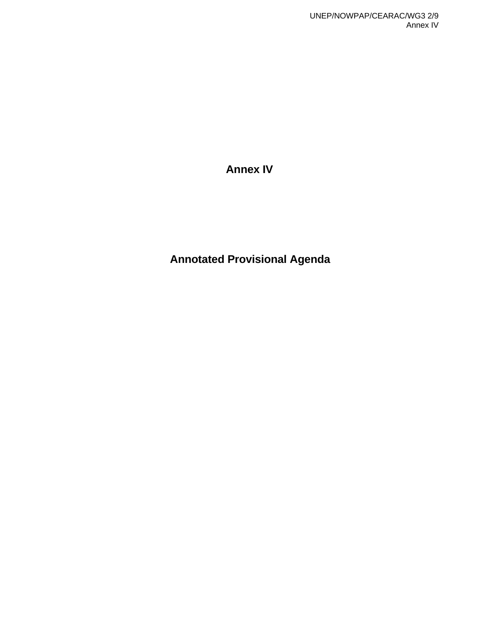**Annex IV** 

**Annotated Provisional Agenda**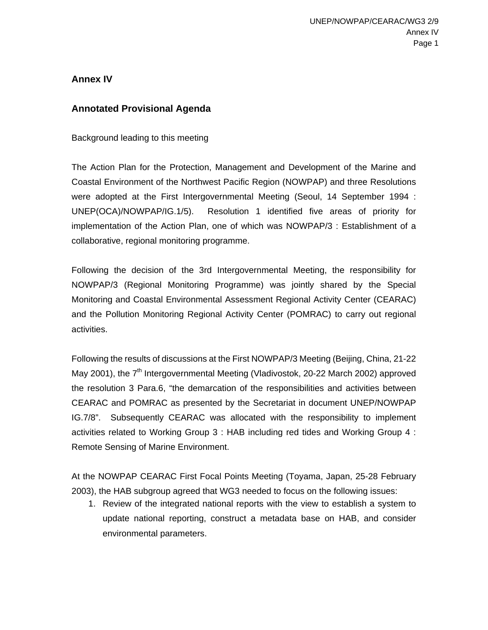## **Annex IV**

### **Annotated Provisional Agenda**

Background leading to this meeting

The Action Plan for the Protection, Management and Development of the Marine and Coastal Environment of the Northwest Pacific Region (NOWPAP) and three Resolutions were adopted at the First Intergovernmental Meeting (Seoul, 14 September 1994 : UNEP(OCA)/NOWPAP/IG.1/5). Resolution 1 identified five areas of priority for implementation of the Action Plan, one of which was NOWPAP/3 : Establishment of a collaborative, regional monitoring programme.

Following the decision of the 3rd Intergovernmental Meeting, the responsibility for NOWPAP/3 (Regional Monitoring Programme) was jointly shared by the Special Monitoring and Coastal Environmental Assessment Regional Activity Center (CEARAC) and the Pollution Monitoring Regional Activity Center (POMRAC) to carry out regional activities.

Following the results of discussions at the First NOWPAP/3 Meeting (Beijing, China, 21-22 May 2001), the  $7<sup>th</sup>$  Intergovernmental Meeting (Vladivostok, 20-22 March 2002) approved the resolution 3 Para.6, "the demarcation of the responsibilities and activities between CEARAC and POMRAC as presented by the Secretariat in document UNEP/NOWPAP IG.7/8". Subsequently CEARAC was allocated with the responsibility to implement activities related to Working Group 3 : HAB including red tides and Working Group 4 : Remote Sensing of Marine Environment.

At the NOWPAP CEARAC First Focal Points Meeting (Toyama, Japan, 25-28 February 2003), the HAB subgroup agreed that WG3 needed to focus on the following issues:

1. Review of the integrated national reports with the view to establish a system to update national reporting, construct a metadata base on HAB, and consider environmental parameters.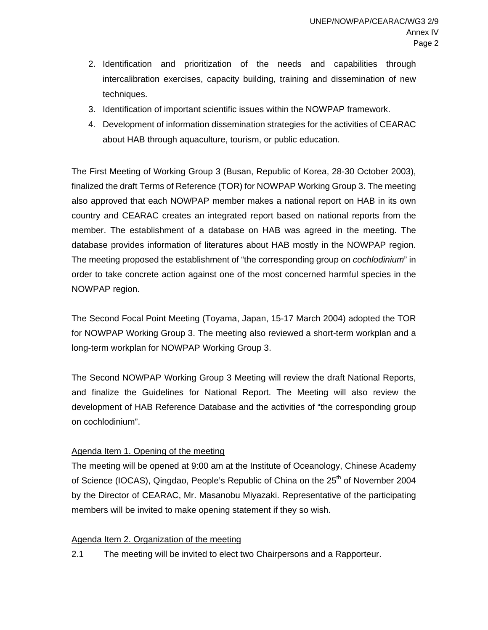- 2. Identification and prioritization of the needs and capabilities through intercalibration exercises, capacity building, training and dissemination of new techniques.
- 3. Identification of important scientific issues within the NOWPAP framework.
- 4. Development of information dissemination strategies for the activities of CEARAC about HAB through aquaculture, tourism, or public education.

The First Meeting of Working Group 3 (Busan, Republic of Korea, 28-30 October 2003), finalized the draft Terms of Reference (TOR) for NOWPAP Working Group 3. The meeting also approved that each NOWPAP member makes a national report on HAB in its own country and CEARAC creates an integrated report based on national reports from the member. The establishment of a database on HAB was agreed in the meeting. The database provides information of literatures about HAB mostly in the NOWPAP region. The meeting proposed the establishment of "the corresponding group on *cochlodinium*" in order to take concrete action against one of the most concerned harmful species in the NOWPAP region.

The Second Focal Point Meeting (Toyama, Japan, 15-17 March 2004) adopted the TOR for NOWPAP Working Group 3. The meeting also reviewed a short-term workplan and a long-term workplan for NOWPAP Working Group 3.

The Second NOWPAP Working Group 3 Meeting will review the draft National Reports, and finalize the Guidelines for National Report. The Meeting will also review the development of HAB Reference Database and the activities of "the corresponding group on cochlodinium".

### Agenda Item 1. Opening of the meeting

The meeting will be opened at 9:00 am at the Institute of Oceanology, Chinese Academy of Science (IOCAS), Qingdao, People's Republic of China on the 25<sup>th</sup> of November 2004 by the Director of CEARAC, Mr. Masanobu Miyazaki. Representative of the participating members will be invited to make opening statement if they so wish.

### Agenda Item 2. Organization of the meeting

2.1 The meeting will be invited to elect two Chairpersons and a Rapporteur.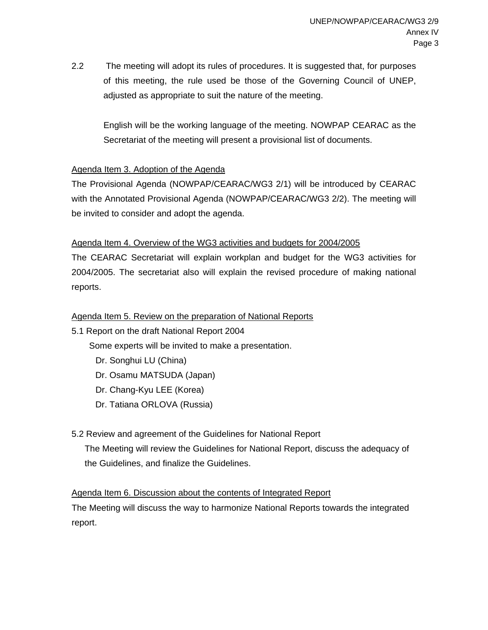2.2 The meeting will adopt its rules of procedures. It is suggested that, for purposes of this meeting, the rule used be those of the Governing Council of UNEP, adjusted as appropriate to suit the nature of the meeting.

English will be the working language of the meeting. NOWPAP CEARAC as the Secretariat of the meeting will present a provisional list of documents.

### Agenda Item 3. Adoption of the Agenda

The Provisional Agenda (NOWPAP/CEARAC/WG3 2/1) will be introduced by CEARAC with the Annotated Provisional Agenda (NOWPAP/CEARAC/WG3 2/2). The meeting will be invited to consider and adopt the agenda.

### Agenda Item 4. Overview of the WG3 activities and budgets for 2004/2005

The CEARAC Secretariat will explain workplan and budget for the WG3 activities for 2004/2005. The secretariat also will explain the revised procedure of making national reports.

## Agenda Item 5. Review on the preparation of National Reports

5.1 Report on the draft National Report 2004

Some experts will be invited to make a presentation.

- Dr. Songhui LU (China)
- Dr. Osamu MATSUDA (Japan)
- Dr. Chang-Kyu LEE (Korea)
- Dr. Tatiana ORLOVA (Russia)

# 5.2 Review and agreement of the Guidelines for National Report

The Meeting will review the Guidelines for National Report, discuss the adequacy of the Guidelines, and finalize the Guidelines.

# Agenda Item 6. Discussion about the contents of Integrated Report

The Meeting will discuss the way to harmonize National Reports towards the integrated report.